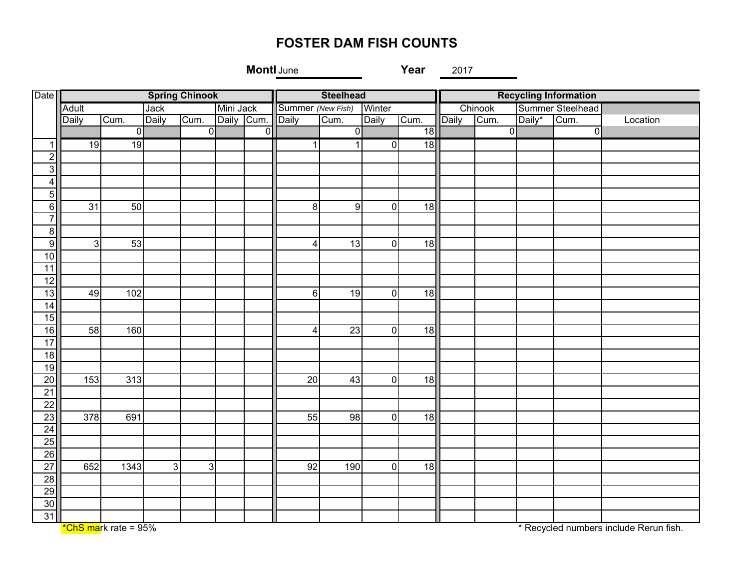## **FOSTER DAM FISH COUNTS**

**Montl** June

**Year** 2017

| Data                             | <b>Spring Chinook</b> |                |                |                |  |                   | <b>Steelhead</b>        |                 |                |                 | <b>Recycling Information</b> |                  |        |                |          |
|----------------------------------|-----------------------|----------------|----------------|----------------|--|-------------------|-------------------------|-----------------|----------------|-----------------|------------------------------|------------------|--------|----------------|----------|
|                                  | <b>Jack</b><br>Adult  |                |                | Mini Jack      |  | Summer (New Fish) |                         | Winter          |                | Chinook         |                              | Summer Steelhead |        |                |          |
|                                  | <b>Daily</b>          | Cum.           | Daily          | Cum.           |  | Daily Cum. Daily  |                         | Cum.            | Daily          | Cum.            | Daily                        | Cum.             | Daily* | Cum.           | Location |
|                                  |                       | $\overline{0}$ |                | $\overline{0}$ |  | ᠗                 |                         | 0               |                | $\overline{18}$ |                              | $\overline{0}$   |        | $\overline{0}$ |          |
|                                  | 19                    | 19             |                |                |  |                   | $\mathbf{1}$            | $\overline{1}$  | $\overline{0}$ | 18              |                              |                  |        |                |          |
| $\overline{2}$                   |                       |                |                |                |  |                   |                         |                 |                |                 |                              |                  |        |                |          |
| 3                                |                       |                |                |                |  |                   |                         |                 |                |                 |                              |                  |        |                |          |
| 4                                |                       |                |                |                |  |                   |                         |                 |                |                 |                              |                  |        |                |          |
| 5                                |                       |                |                |                |  |                   |                         |                 |                |                 |                              |                  |        |                |          |
| 6                                | 31                    | 50             |                |                |  |                   | $\bf 8$                 | 9               | $\overline{0}$ | 18              |                              |                  |        |                |          |
| $\overline{7}$                   |                       |                |                |                |  |                   |                         |                 |                |                 |                              |                  |        |                |          |
| 8 <sup>1</sup><br>$\overline{9}$ | 3 <sup>1</sup>        | 53             |                |                |  |                   | $\overline{\mathbf{4}}$ | 13              | $\overline{0}$ | $\overline{18}$ |                              |                  |        |                |          |
| 10                               |                       |                |                |                |  |                   |                         |                 |                |                 |                              |                  |        |                |          |
| 11                               |                       |                |                |                |  |                   |                         |                 |                |                 |                              |                  |        |                |          |
| 12                               |                       |                |                |                |  |                   |                         |                 |                |                 |                              |                  |        |                |          |
| 13                               | 49                    | 102            |                |                |  |                   | $\,6$                   | 19              | $\overline{0}$ | 18              |                              |                  |        |                |          |
| $\overline{14}$                  |                       |                |                |                |  |                   |                         |                 |                |                 |                              |                  |        |                |          |
| 15                               |                       |                |                |                |  |                   |                         |                 |                |                 |                              |                  |        |                |          |
| 16                               | 58                    | 160            |                |                |  |                   | $\overline{\mathbf{4}}$ | 23              | $\overline{0}$ | 18              |                              |                  |        |                |          |
| 17                               |                       |                |                |                |  |                   |                         |                 |                |                 |                              |                  |        |                |          |
| 18                               |                       |                |                |                |  |                   |                         |                 |                |                 |                              |                  |        |                |          |
| 19                               |                       |                |                |                |  |                   |                         |                 |                |                 |                              |                  |        |                |          |
| $\overline{20}$                  | 153                   | 313            |                |                |  |                   | 20                      | 43              | $\overline{0}$ | 18              |                              |                  |        |                |          |
| $\overline{21}$                  |                       |                |                |                |  |                   |                         |                 |                |                 |                              |                  |        |                |          |
| $\overline{22}$                  |                       |                |                |                |  |                   |                         |                 |                |                 |                              |                  |        |                |          |
| $\overline{23}$                  | 378                   | 691            |                |                |  |                   | 55                      | $\overline{98}$ | $\overline{0}$ | $\overline{18}$ |                              |                  |        |                |          |
| 24                               |                       |                |                |                |  |                   |                         |                 |                |                 |                              |                  |        |                |          |
| 25                               |                       |                |                |                |  |                   |                         |                 |                |                 |                              |                  |        |                |          |
| 26                               |                       |                |                |                |  |                   |                         |                 |                |                 |                              |                  |        |                |          |
| $\overline{27}$                  | 652                   | 1343           | $\overline{3}$ | $\mathsf{3}$   |  |                   | $\overline{92}$         | 190             | $\overline{0}$ | $\overline{18}$ |                              |                  |        |                |          |
| $\overline{28}$                  |                       |                |                |                |  |                   |                         |                 |                |                 |                              |                  |        |                |          |
| 29                               |                       |                |                |                |  |                   |                         |                 |                |                 |                              |                  |        |                |          |
| 30                               |                       |                |                |                |  |                   |                         |                 |                |                 |                              |                  |        |                |          |
| 31                               |                       |                |                |                |  |                   |                         |                 |                |                 |                              |                  |        |                |          |

 $***ChS**$  mark rate = 95%

\* Recycled numbers include Rerun fish.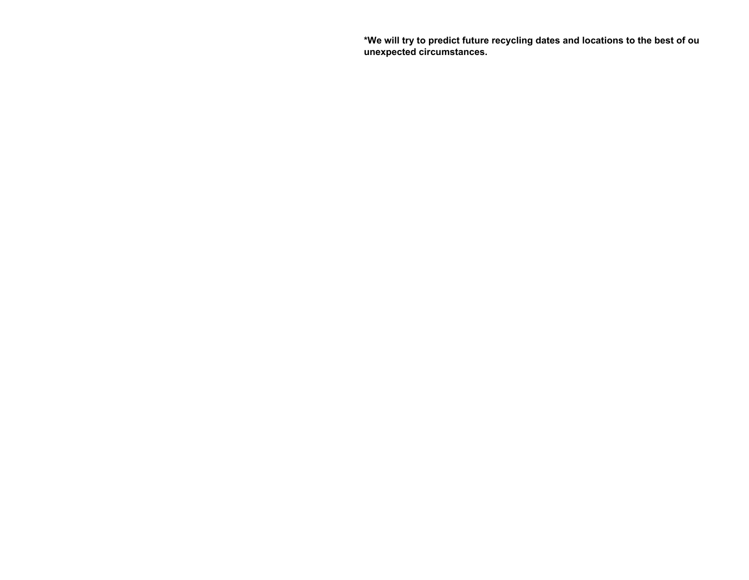**\*We will try to predict future recycling dates and locations to the best of ou unexpected circumstances.**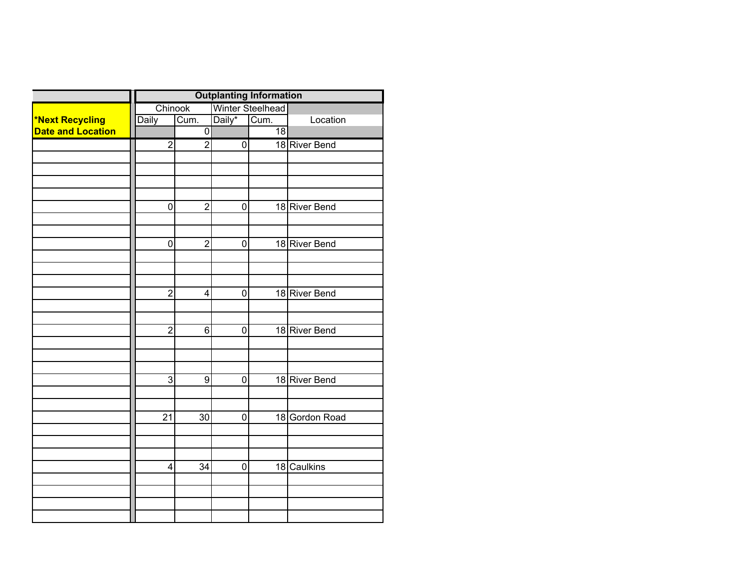|                          |                | <b>Outplanting Information</b> |             |                  |                |
|--------------------------|----------------|--------------------------------|-------------|------------------|----------------|
|                          | Chinook        |                                |             | Winter Steelhead |                |
| *Next Recycling          | <b>Daily</b>   | Cum.                           | Daily*      | Cum.             | Location       |
| <b>Date and Location</b> |                | $\overline{0}$                 |             | $\overline{18}$  |                |
|                          | $\overline{2}$ | $\overline{2}$                 | $\mathbf 0$ |                  | 18 River Bend  |
|                          |                |                                |             |                  |                |
|                          |                |                                |             |                  |                |
|                          |                |                                |             |                  |                |
|                          |                |                                |             |                  |                |
|                          | 0              | $\overline{2}$                 | $\mathbf 0$ |                  | 18 River Bend  |
|                          |                |                                |             |                  |                |
|                          |                |                                |             |                  |                |
|                          | $\mathbf 0$    | $\overline{2}$                 | 0           |                  | 18 River Bend  |
|                          |                |                                |             |                  |                |
|                          |                |                                |             |                  |                |
|                          |                |                                |             |                  |                |
|                          | $\overline{2}$ | 4                              | 0           |                  | 18 River Bend  |
|                          |                |                                |             |                  |                |
|                          |                |                                |             |                  |                |
|                          | $\overline{2}$ | 6                              | $\mathbf 0$ |                  | 18 River Bend  |
|                          |                |                                |             |                  |                |
|                          |                |                                |             |                  |                |
|                          |                |                                |             |                  |                |
|                          | 3              | 9                              | 0           |                  | 18 River Bend  |
|                          |                |                                |             |                  |                |
|                          | 21             | 30                             | $\mathbf 0$ |                  | 18 Gordon Road |
|                          |                |                                |             |                  |                |
|                          |                |                                |             |                  |                |
|                          |                |                                |             |                  |                |
|                          | 4              | 34                             | $\mathbf 0$ |                  | 18 Caulkins    |
|                          |                |                                |             |                  |                |
|                          |                |                                |             |                  |                |
|                          |                |                                |             |                  |                |
|                          |                |                                |             |                  |                |